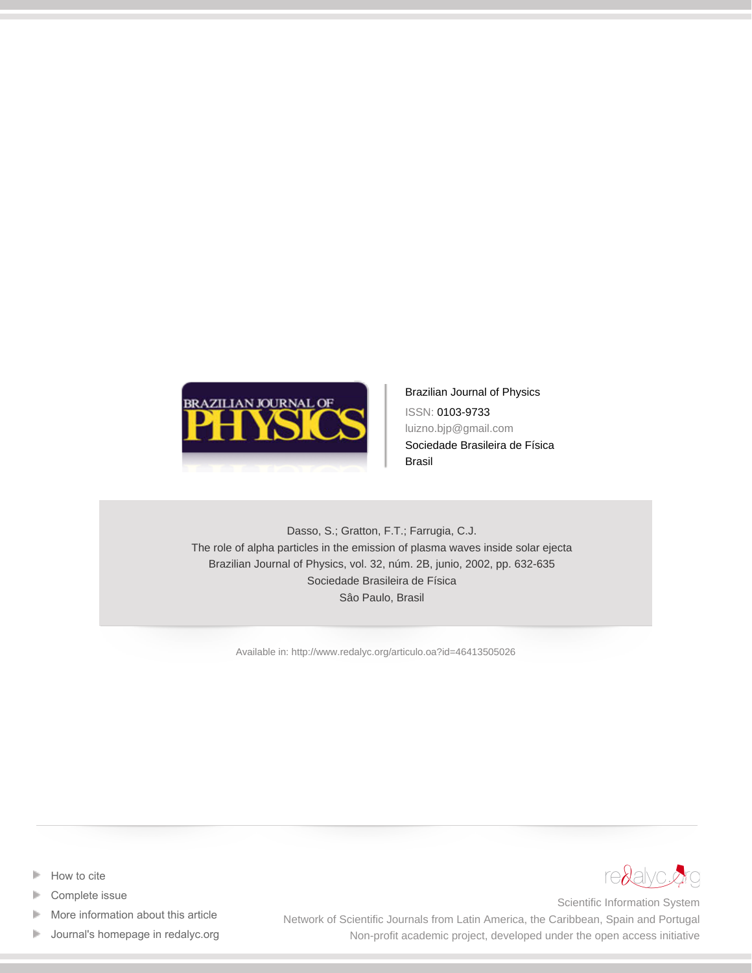

Brazilian Journal of Physics ISSN: 0103-9733 luizno.bjp@gmail.com Sociedade Brasileira de Física Brasil

Dasso, S.; Gratton, F.T.; Farrugia, C.J. The role of alpha particles in the emission of plasma waves inside solar ejecta Brazilian Journal of Physics, vol. 32, núm. 2B, junio, 2002, pp. 632-635 Sociedade Brasileira de Física Sâo Paulo, Brasil

[Available in: http://www.redalyc.org/articulo.oa?id=46413505026](http://www.redalyc.org/articulo.oa?id=46413505026)

- [How to cite](http://www.redalyc.org/comocitar.oa?id=46413505026) Þ
- [Complete issue](http://www.redalyc.org/fasciculo.oa?id=464&numero=13505)
- [More information about this article](http://www.redalyc.org/articulo.oa?id=46413505026) Þ
- [Journal's homepage in redalyc.org](http://www.redalyc.org/revista.oa?id=464)  $\mathbb P$



Scientific Information System Network of Scientific Journals from Latin America, the Caribbean, Spain and Portugal Non-profit academic project, developed under the open access initiative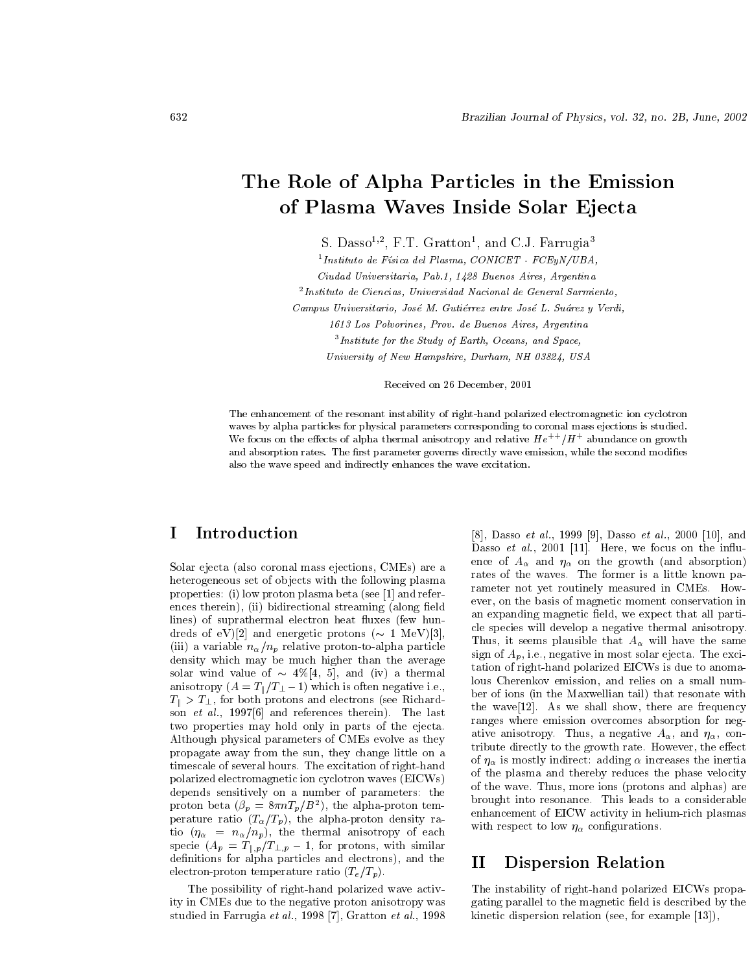# The Role of Alpha Particles in the Emission of Plasma Waves Inside Solar Ejecta

S. Dasso<sup>1,2</sup>, F.T. Gratton<sup>1</sup>, and C.J. Farrugia<sup>3</sup>

 $^{1}$ Instituto de Física del Plasma, CONICET - FCEuN/UBA.

Ciudad Universitaria, Pab. 1, 1428 Buenos Aires, Argentina

 $^{2}$ Instituto de Ciencias, Universidad Nacional de General Sarmiento.

Campus Universitario, José M. Gutiérrez entre José L. Suárez y Verdi,

1613 Los Polvorines, Prov. de Buenos Aires, Argentina

 $3$ Institute for the Study of Earth, Oceans, and Space,

University of New Hampshire, Durham, NH 03824, USA

Received on 26 December, 2001

The enhancement of the resonant instability of right-hand polarized electromagnetic ion cyclotron waves by alpha particles for physical parameters corresponding to coronal mass ejections is studied. We focus on the effects of alpha thermal anisotropy and relative  $He^{++}/H^+$  abundance on growth and absorption rates. The first parameter governs directly wave emission, while the second modifies also the wave speed and indirectly enhances the wave excitation.

#### $\bf I$ Introduction

Solar ejecta (also coronal mass ejections, CMEs) are a heterogeneous set of objects with the following plasma properties: (i) low proton plasma beta (see [1] and references therein), (ii) bidirectional streaming (along field lines) of suprathermal electron heat fluxes (few hundreds of eV)[2] and energetic protons ( $\sim 1$  MeV)[3]. (iii) a variable  $n_{\alpha}/n_p$  relative proton-to-alpha particle density which may be much higher than the average solar wind value of  $\sim$  4%[4, 5], and (iv) a thermal anisotropy  $(A = T_{\parallel}/T_{\perp}-1)$  which is often negative i.e.,  $T_{\parallel} > T_{\perp}$ , for both protons and electrons (see Richardson *et al.*, 1997[6] and references therein. The last two properties may hold only in parts of the ejecta. Although physical parameters of CMEs evolve as they propagate away from the sun, they change little on a timescale of several hours. The excitation of right-hand polarized electromagnetic ion cyclotron waves (EICWs) depends sensitively on a number of parameters: the proton beta  $(\beta_p = 8\pi nT_p/B^2)$ , the alpha-proton temperature ratio  $(T_{\alpha}/T_p)$ , the alpha-proton density ratio  $(\eta_{\alpha} = n_{\alpha}/n_p)$ , the thermal anisotropy of each specie  $(A_p = T_{\parallel,p}/T_{\perp,p} - 1)$ , for protons, with similar definitions for alpha particles and electrons), and the electron-proton temperature ratio  $(T_e/T_p)$ .

The possibility of right-hand polarized wave activity in CMEs due to the negative proton anisotropy was studied in Farrugia et al., 1998 [7], Gratton et al., 1998

[8], Dasso et al., 1999 [9], Dasso et al., 2000 [10], and Dasso et al., 2001 [11]. Here, we focus on the influence of  $A_{\alpha}$  and  $\eta_{\alpha}$  on the growth (and absorption) rates of the waves. The former is a little known parameter not yet routinely measured in CMEs. However, on the basis of magnetic moment conservation in an expanding magnetic field, we expect that all particle species will develop a negative thermal anisotropy. Thus, it seems plausible that  $A_{\alpha}$  will have the same sign of  $A_p$ , i.e., negative in most solar ejecta. The excitation of right-hand polarized EICWs is due to anomalous Cherenkov emission, and relies on a small number of ions (in the Maxwellian tail) that resonate with the wave[12]. As we shall show, there are frequency ranges where emission overcomes absorption for negative anisotropy. Thus, a negative  $A_{\alpha}$ , and  $\eta_{\alpha}$ , contribute directly to the growth rate. However, the effect of  $\eta_{\alpha}$  is mostly indirect: adding  $\alpha$  increases the inertia of the plasma and thereby reduces the phase velocity of the wave. Thus, more ions (protons and alphas) are brought into resonance. This leads to a considerable enhancement of EICW activity in helium-rich plasmas with respect to low  $\eta_{\alpha}$  configurations.

#### Dispersion Relation П

The instability of right-hand polarized EICWs propagating parallel to the magnetic field is described by the kinetic dispersion relation (see, for example  $[13]$ ),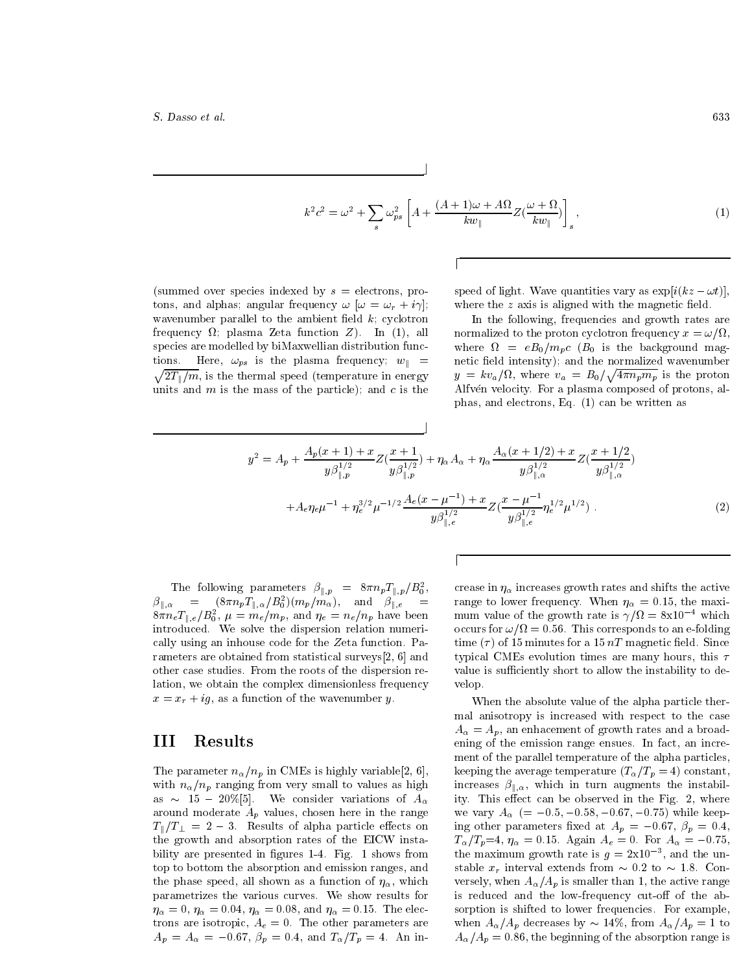$$
k^{2}c^{2} = \omega^{2} + \sum_{s} \omega_{ps}^{2} \left[ A + \frac{(A+1)\omega + A\Omega}{kw_{\parallel}} Z(\frac{\omega + \Omega}{kw_{\parallel}}) \right]_{s}, \tag{1}
$$

(summed over species indexed by  $s =$  electrons, protons, and alphas; angular frequency  $\omega$   $[\omega = \omega_r + i\gamma];$ wavenumber parallel to the ambient field  $k$ ; cyclotron frequency  $\Omega$ ; plasma Zeta function Z). In (1), all species are modelled by biMaxwellian distribution functions. Here,  $\omega_{ps}$  is the plasma frequency;  $w_{\parallel}$  =  $\sqrt{2T_{\parallel}/m}$ , is the thermal speed (temperature in energy units and  $m$  is the mass of the particle); and  $c$  is the speed of light. Wave quantities vary as  $\exp[i(kz-\omega t)],$ where the  $z$  axis is aligned with the magnetic field.

In the following, frequencies and growth rates are normalized to the proton cyclotron frequency  $x = \omega/\Omega$ , where  $\Omega = eB_0/m_pc$  ( $B_0$  is the background magnetic field intensity); and the normalized wavenumber  $y = kv_a/\Omega$ , where  $v_a = B_0/\sqrt{4\pi n_p m_p}$  is the proton Alfvén velocity. For a plasma composed of protons, alphas, and electrons, Eq.  $(1)$  can be written as

$$
y^{2} = A_{p} + \frac{A_{p}(x+1) + x}{y\beta_{\parallel,p}^{1/2}} Z(\frac{x+1}{y\beta_{\parallel,p}^{1/2}}) + \eta_{\alpha} A_{\alpha} + \eta_{\alpha} \frac{A_{\alpha}(x+1/2) + x}{y\beta_{\parallel,\alpha}^{1/2}} Z(\frac{x+1/2}{y\beta_{\parallel,\alpha}^{1/2}}) + A_{e}\eta_{e}\mu^{-1} + \eta_{e}^{3/2}\mu^{-1/2}\frac{A_{e}(x-\mu^{-1}) + x}{y\beta_{\parallel,e}^{1/2}} Z(\frac{x-\mu^{-1}}{y\beta_{\parallel,e}^{1/2}}\eta_{e}^{1/2}\mu^{1/2}). \tag{2}
$$

The following parameters  $\beta_{\parallel,p} = 8\pi n_p T_{\parallel,p}/B_0^2$ ,  $\beta_{\parallel,\alpha} = (8\pi n_p T_{\parallel,\alpha}/B_0^2)(m_p/m_\alpha), \text{ and } \beta_{\parallel,e} =$  $8\pi n_e T_{\parallel,e}/B_0^2$ ,  $\mu = m_e/m_p$ , and  $\eta_e = n_e/n_p$  have been introduced. We solve the dispersion relation numerically using an inhouse code for the Zeta function. Parameters are obtained from statistical surveys  $[2, 6]$  and other case studies. From the roots of the dispersion relation, we obtain the complex dimensionless frequency  $x = x_r + ig$ , as a function of the wavenumber y.

#### Ш Results

The parameter  $n_{\alpha}/n_p$  in CMEs is highly variable[2, 6], with  $n_{\alpha}/n_p$  ranging from very small to values as high as  $\sim$  15 - 20%[5]. We consider variations of  $A_{\alpha}$ around moderate  $A_p$  values, chosen here in the range  $T_{\parallel}/T_{\perp} = 2 - 3$ . Results of alpha particle effects on the growth and absorption rates of the EICW instability are presented in figures 1-4. Fig. 1 shows from top to bottom the absorption and emission ranges, and the phase speed, all shown as a function of  $\eta_{\alpha}$ , which parametrizes the various curves. We show results for  $\eta_{\alpha}=0$ ,  $\eta_{\alpha}=0.04$ ,  $\eta_{\alpha}=0.08$ , and  $\eta_{\alpha}=0.15$ . The electrons are isotropic,  $A_e = 0$ . The other parameters are  $A_p = A_\alpha = -0.67, \ \beta_p = 0.4, \ {\rm and} \ T_\alpha/T_p = 4.$  An increase in  $\eta_\alpha$  increases growth rates and shifts the active range to lower frequency. When  $\eta_{\alpha} = 0.15$ , the maximum value of the growth rate is  $\gamma/\Omega = 8x10^{-4}$  which occurs for  $\omega/\Omega = 0.56$ . This corresponds to an e-folding time ( $\tau$ ) of 15 minutes for a 15 nT magnetic field. Since typical CMEs evolution times are many hours, this  $\tau$ value is sufficiently short to allow the instability to develop.

When the absolute value of the alpha particle thermal anisotropy is increased with respect to the case  $A_{\alpha} = A_p$ , an enhacement of growth rates and a broadening of the emission range ensues. In fact, an increment of the parallel temperature of the alpha particles, keeping the average temperature  $(T_{\alpha}/T_p = 4)$  constant, increases  $\beta_{\parallel,\alpha}$ , which in turn augments the instability. This effect can be observed in the Fig. 2, where we vary  $A_{\alpha}$  (= -0.5, -0.58, -0.67, -0.75) while keeping other parameters fixed at  $A_p = -0.67$ ,  $\beta_p = 0.4$ ,  $T_{\alpha}/T_p=4$ ,  $\eta_{\alpha}=0.15$ . Again  $A_e=0$ . For  $A_{\alpha}=-0.75$ , the maximum growth rate is  $g = 2 \times 10^{-3}$ , and the unstable  $x_r$  interval extends from  $\sim 0.2$  to  $\sim 1.8$ . Conversely, when  $A_{\alpha}/A_p$  is smaller than 1, the active range is reduced and the low-frequency cut-off of the absorption is shifted to lower frequencies. For example, when  $A_{\alpha}/A_p$  decreases by  $\sim 14\%$ , from  $A_{\alpha}/A_p = 1$  to  $A_{\alpha}/A_p = 0.86$ , the beginning of the absorption range is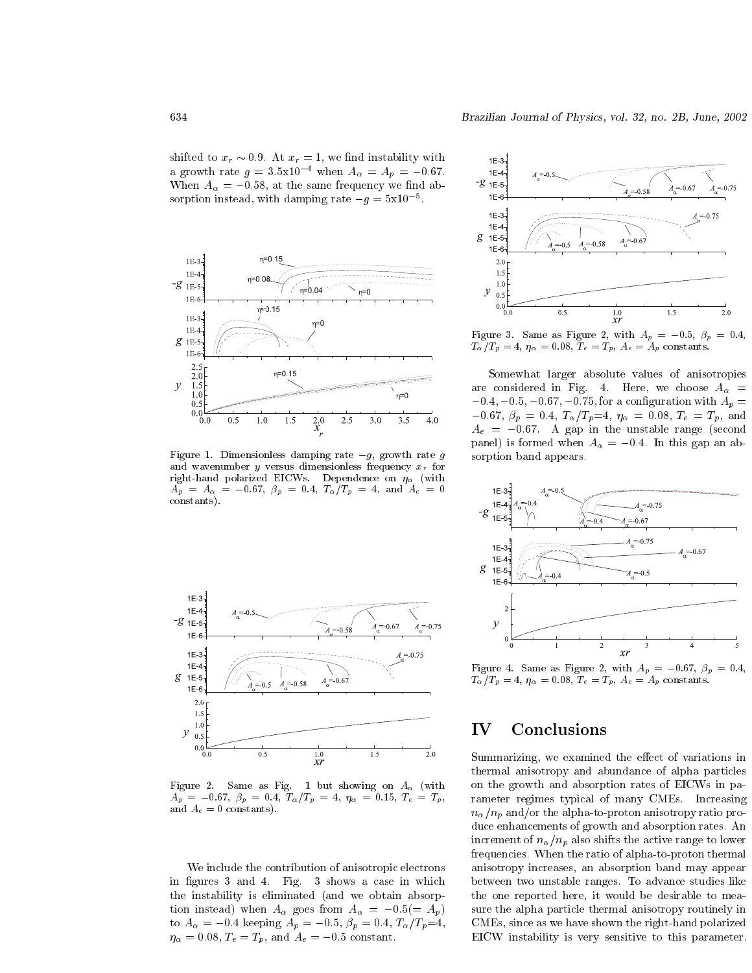shifted to  $x_r \sim 0.9$ . At  $x_r = 1$ , we find instability with a growth rate  $g = 3.5 \times 10^{-4}$  when  $A_\alpha = A_p = -0.67$ . When  $A_{\alpha} = -0.58$ , at the same frequency we find absorption instead, with damping rate  $-g = 5x10^{-5}$ .



Figure 1. Dimensionless damping rate  $-g$ , growth rate g and wavenumber  $y$  versus dimensionless frequency  $x_r$  for right-hand polarized EICWs. Dependence on  $\eta_{\alpha}$  (with  $A_p = A_\alpha = -0.67, \ \beta_p = 0.4, \ T_\alpha/T_p = 4, \text{ and } A_e = 0$ constants).



Figure 2. Same as Fig. 1 but showing on  $A_{\alpha}$  (with  $A_p = -0.67$ ,  $\beta_p = 0.4$ ,  $T_{\alpha}/T_p = 4$ ,  $\eta_{\alpha} = 0.15$ ,  $T_e = T_p$ , and  $A_e = 0$  constants).

We include the contribution of anisotropic electrons in figures 3 and 4. Fig. 3 shows a case in which the instability is eliminated (and we obtain absorption instead) when  $A_{\alpha}$  goes from  $A_{\alpha} = -0.5 (= A_p)$ to  $A_{\alpha}$  = -0.4 keeping  $A_p$  = -0.5,  $\beta_p$  = 0.4,  $T_{\alpha}/T_p$ =4,  $\eta_{\alpha} = 0.08, T_e = T_p$ , and  $A_e = -0.5$  constant.



Figure 3. Same as Figure 2, with  $A_p = -0.5$ ,  $\beta_p = 0.4$ ,  $T_{\alpha}/T_p=4$ ,  $\eta_{\alpha}=0.08$ ,  $T_e=T_p$ ,  $A_e=A_p$  constants.

Somewhat larger absolute values of anisotropies are considered in Fig. 4. Here, we choose  $A_{\alpha}$  =  $-0.4, -0.5, -0.67, -0.75$ , for a configuration with  $A_p =$  $-0.67, \ \beta_p = 0.4, \ T_{\alpha}/T_p = 4, \ \eta_{\alpha} = 0.08, \ T_e = T_p, \text{ and}$  $A_e = -0.67$ . A gap in the unstable range (second panel) is formed when  $A_{\alpha} = -0.4$ . In this gap an absorption band appears.



Figure 4. Same as Figure 2, with  $A_p = -0.67$ ,  $\beta_p = 0.4$ ,  $T_{\alpha}/T_p = 4$ ,  $\eta_{\alpha} = 0.08$ ,  $T_e = T_p$ ,  $A_e = A_p$  constants.

#### IV Conclusions

Summarizing, we examined the effect of variations in thermal anisotropy and abundance of alpha particles on the growth and absorption rates of EICWs in parameter regimes typical of many CMEs. Increasing  $n_{\alpha}/n_{p}$  and/or the alpha-to-proton anisotropy ratio produce enhancements of growth and absorption rates. An increment of  $n_{\alpha}/n_p$  also shifts the active range to lower frequencies. When the ratio of alpha-to-proton thermal anisotropy increases, an absorption band may appear between two unstable ranges. To advance studies like the one reported here, it would be desirable to measure the alpha particle thermal anisotropy routinely in CMEs, since as we have shown the right-hand polarized EICW instability is very sensitive to this parameter.